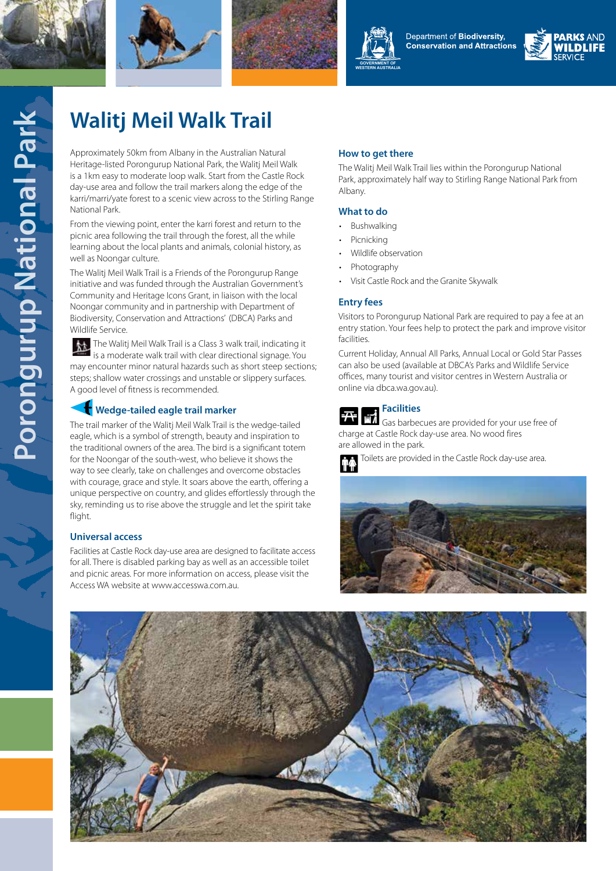





Department of Biodiversity, **Conservation and Attractions** 



# **Walitj Meil Walk Trail**

Approximately 50km from Albany in the Australian Natural Heritage-listed Porongurup National Park, the Walitj Meil Walk is a 1km easy to moderate loop walk. Start from the Castle Rock day-use area and follow the trail markers along the edge of the karri/marri/yate forest to a scenic view across to the Stirling Range National Park.

From the viewing point, enter the karri forest and return to the picnic area following the trail through the forest, all the while learning about the local plants and animals, colonial history, as well as Noongar culture.

The Walitj Meil Walk Trail is a Friends of the Porongurup Range initiative and was funded through the Australian Government's Community and Heritage Icons Grant, in liaison with the local Noongar community and in partnership with Department of Biodiversity, Conservation and Attractions' (DBCA) Parks and Wildlife Service.

The Walitj Meil Walk Trail is a Class 3 walk trail, indicating it 魀 is a moderate walk trail with clear directional signage. You may encounter minor natural hazards such as short steep sections; steps; shallow water crossings and unstable or slippery surfaces. A good level of fitness is recommended.

# **Wedge-tailed eagle trail marker**

The trail marker of the Walitj Meil Walk Trail is the wedge-tailed eagle, which is a symbol of strength, beauty and inspiration to the traditional owners of the area. The bird is a significant totem for the Noongar of the south-west, who believe it shows the way to see clearly, take on challenges and overcome obstacles with courage, grace and style. It soars above the earth, offering a unique perspective on country, and glides effortlessly through the sky, reminding us to rise above the struggle and let the spirit take flight.

## **Universal access**

Facilities at Castle Rock day-use area are designed to facilitate access for all. There is disabled parking bay as well as an accessible toilet and picnic areas. For more information on access, please visit the Access WA website at www.accesswa.com.au.

## **How to get there**

The Walitj Meil Walk Trail lies within the Porongurup National Park, approximately half way to Stirling Range National Park from Albany.

### **What to do**

- Bushwalking
- **Picnicking**
- Wildlife observation
- Photography
- Visit Castle Rock and the Granite Skywalk

#### **Entry fees**

Visitors to Porongurup National Park are required to pay a fee at an entry station. Your fees help to protect the park and improve visitor facilities.

Current Holiday, Annual All Parks, Annual Local or Gold Star Passes can also be used (available at DBCA's Parks and Wildlife Service offices, many tourist and visitor centres in Western Australia or online via dbca.wa.gov.au).

# **Facilities**

Gas barbecues are provided for your use free of charge at Castle Rock day-use area. No wood fires are allowed in the park.

Toilets are provided in the Castle Rock day-use area.